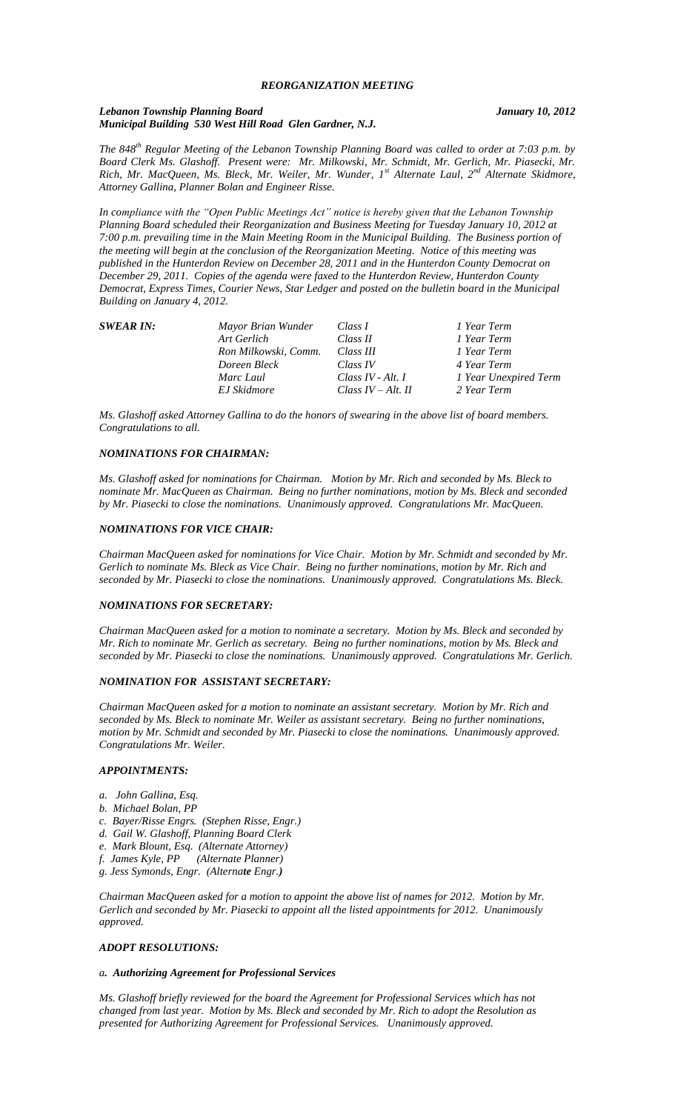### *Lebanon Township Planning Board January 10, 2012 Municipal Building 530 West Hill Road Glen Gardner, N.J.*

*The 848th Regular Meeting of the Lebanon Township Planning Board was called to order at 7:03 p.m. by Board Clerk Ms. Glashoff. Present were: Mr. Milkowski, Mr. Schmidt, Mr. Gerlich, Mr. Piasecki, Mr. Rich, Mr. MacQueen, Ms. Bleck, Mr. Weiler, Mr. Wunder, 1st Alternate Laul, 2nd Alternate Skidmore, Attorney Gallina, Planner Bolan and Engineer Risse.*

*In compliance with the "Open Public Meetings Act" notice is hereby given that the Lebanon Township Planning Board scheduled their Reorganization and Business Meeting for Tuesday January 10, 2012 at 7:00 p.m. prevailing time in the Main Meeting Room in the Municipal Building. The Business portion of the meeting will begin at the conclusion of the Reorganization Meeting. Notice of this meeting was published in the Hunterdon Review on December 28, 2011 and in the Hunterdon County Democrat on December 29, 2011. Copies of the agenda were faxed to the Hunterdon Review, Hunterdon County Democrat, Express Times, Courier News, Star Ledger and posted on the bulletin board in the Municipal Building on January 4, 2012.*

| <b>SWEAR IN:</b> | Mayor Brian Wunder   | Class I               | 1 Year Term           |
|------------------|----------------------|-----------------------|-----------------------|
|                  | Art Gerlich          | Class II              | 1 Year Term           |
|                  | Ron Milkowski, Comm. | Class III             | 1 Year Term           |
|                  | Doreen Bleck         | Class IV              | 4 Year Term           |
|                  | Marc Laul            | Class IV - Alt. $I$   | 1 Year Unexpired Term |
|                  | EJ Skidmore          | Class $IV - Alt$ . II | 2 Year Term           |

*Ms. Glashoff asked Attorney Gallina to do the honors of swearing in the above list of board members. Congratulations to all.*

# *NOMINATIONS FOR CHAIRMAN:*

*Ms. Glashoff asked for nominations for Chairman. Motion by Mr. Rich and seconded by Ms. Bleck to nominate Mr. MacQueen as Chairman. Being no further nominations, motion by Ms. Bleck and seconded by Mr. Piasecki to close the nominations. Unanimously approved. Congratulations Mr. MacQueen.*

## *NOMINATIONS FOR VICE CHAIR:*

*Chairman MacQueen asked for nominations for Vice Chair. Motion by Mr. Schmidt and seconded by Mr. Gerlich to nominate Ms. Bleck as Vice Chair. Being no further nominations, motion by Mr. Rich and seconded by Mr. Piasecki to close the nominations. Unanimously approved. Congratulations Ms. Bleck.*

# *NOMINATIONS FOR SECRETARY:*

*Chairman MacQueen asked for a motion to nominate a secretary. Motion by Ms. Bleck and seconded by Mr. Rich to nominate Mr. Gerlich as secretary. Being no further nominations, motion by Ms. Bleck and seconded by Mr. Piasecki to close the nominations. Unanimously approved. Congratulations Mr. Gerlich.*

## *NOMINATION FOR ASSISTANT SECRETARY:*

*Chairman MacQueen asked for a motion to nominate an assistant secretary. Motion by Mr. Rich and seconded by Ms. Bleck to nominate Mr. Weiler as assistant secretary. Being no further nominations, motion by Mr. Schmidt and seconded by Mr. Piasecki to close the nominations. Unanimously approved. Congratulations Mr. Weiler.*

#### *APPOINTMENTS:*

- *a. John Gallina, Esq.*
- *b. Michael Bolan, PP*
- *c. Bayer/Risse Engrs. (Stephen Risse, Engr.)*
- *d. Gail W. Glashoff, Planning Board Clerk*
- *e. Mark Blount, Esq. (Alternate Attorney)*
- *f. James Kyle, PP (Alternate Planner)*
- *g. Jess Symonds, Engr. (Alternate Engr.)*

*Chairman MacQueen asked for a motion to appoint the above list of names for 2012. Motion by Mr. Gerlich and seconded by Mr. Piasecki to appoint all the listed appointments for 2012. Unanimously approved.*

### *ADOPT RESOLUTIONS:*

#### *a. Authorizing Agreement for Professional Services*

*Ms. Glashoff briefly reviewed for the board the Agreement for Professional Services which has not changed from last year. Motion by Ms. Bleck and seconded by Mr. Rich to adopt the Resolution as presented for Authorizing Agreement for Professional Services. Unanimously approved.*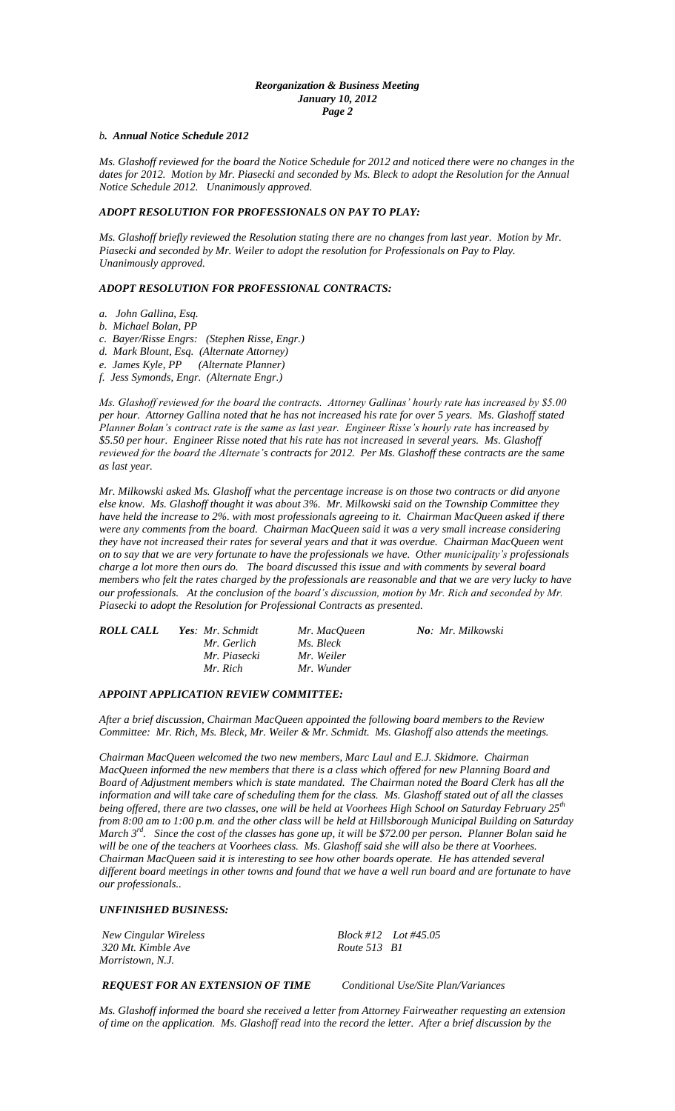## *Reorganization & Business Meeting January 10, 2012 Page 2*

#### *b. Annual Notice Schedule 2012*

*Ms. Glashoff reviewed for the board the Notice Schedule for 2012 and noticed there were no changes in the dates for 2012. Motion by Mr. Piasecki and seconded by Ms. Bleck to adopt the Resolution for the Annual Notice Schedule 2012. Unanimously approved.*

# *ADOPT RESOLUTION FOR PROFESSIONALS ON PAY TO PLAY:*

*Ms. Glashoff briefly reviewed the Resolution stating there are no changes from last year. Motion by Mr. Piasecki and seconded by Mr. Weiler to adopt the resolution for Professionals on Pay to Play. Unanimously approved.*

## *ADOPT RESOLUTION FOR PROFESSIONAL CONTRACTS:*

- *a. John Gallina, Esq.*
- *b. Michael Bolan, PP*
- *c. Bayer/Risse Engrs: (Stephen Risse, Engr.)*
- *d. Mark Blount, Esq. (Alternate Attorney)*
- *e. James Kyle, PP (Alternate Planner)*
- *f. Jess Symonds, Engr. (Alternate Engr.)*

*Ms. Glashoff reviewed for the board the contracts. Attorney Gallinas' hourly rate has increased by \$5.00 per hour. Attorney Gallina noted that he has not increased his rate for over 5 years. Ms. Glashoff stated Planner Bolan's contract rate is the same as last year. Engineer Risse's hourly rate has increased by \$5.50 per hour. Engineer Risse noted that his rate has not increased in several years. Ms. Glashoff reviewed for the board the Alternate's contracts for 2012. Per Ms. Glashoff these contracts are the same as last year.* 

*Mr. Milkowski asked Ms. Glashoff what the percentage increase is on those two contracts or did anyone else know. Ms. Glashoff thought it was about 3%. Mr. Milkowski said on the Township Committee they have held the increase to 2%. with most professionals agreeing to it. Chairman MacQueen asked if there were any comments from the board. Chairman MacQueen said it was a very small increase considering they have not increased their rates for several years and that it was overdue. Chairman MacQueen went on to say that we are very fortunate to have the professionals we have. Other municipality's professionals charge a lot more then ours do. The board discussed this issue and with comments by several board members who felt the rates charged by the professionals are reasonable and that we are very lucky to have our professionals. At the conclusion of the board's discussion, motion by Mr. Rich and seconded by Mr. Piasecki to adopt the Resolution for Professional Contracts as presented.*

| <b>ROLL CALL</b> | Yes: Mr. Schmidt | Mr. MacOueen | No: Mr. Milkowski |
|------------------|------------------|--------------|-------------------|
|                  | Mr. Gerlich      | Ms. Bleck    |                   |
|                  | Mr. Piasecki     | Mr. Weiler   |                   |
|                  | Mr. Rich         | Mr. Wunder   |                   |

### *APPOINT APPLICATION REVIEW COMMITTEE:*

*After a brief discussion, Chairman MacQueen appointed the following board members to the Review Committee: Mr. Rich, Ms. Bleck, Mr. Weiler & Mr. Schmidt. Ms. Glashoff also attends the meetings.*

*Chairman MacQueen welcomed the two new members, Marc Laul and E.J. Skidmore. Chairman MacQueen informed the new members that there is a class which offered for new Planning Board and Board of Adjustment members which is state mandated. The Chairman noted the Board Clerk has all the information and will take care of scheduling them for the class. Ms. Glashoff stated out of all the classes being offered, there are two classes, one will be held at Voorhees High School on Saturday February 25th from 8:00 am to 1:00 p.m. and the other class will be held at Hillsborough Municipal Building on Saturday March 3rd . Since the cost of the classes has gone up, it will be \$72.00 per person. Planner Bolan said he will be one of the teachers at Voorhees class. Ms. Glashoff said she will also be there at Voorhees. Chairman MacQueen said it is interesting to see how other boards operate. He has attended several different board meetings in other towns and found that we have a well run board and are fortunate to have our professionals..*

#### *UNFINISHED BUSINESS:*

*New Cingular Wireless Block #12 Lot #45.05*  $320$  Mt. Kimble Ave *Morristown, N.J.*

#### *REQUEST FOR AN EXTENSION OF TIME Conditional Use/Site Plan/Variances*

*Ms. Glashoff informed the board she received a letter from Attorney Fairweather requesting an extension of time on the application. Ms. Glashoff read into the record the letter. After a brief discussion by the*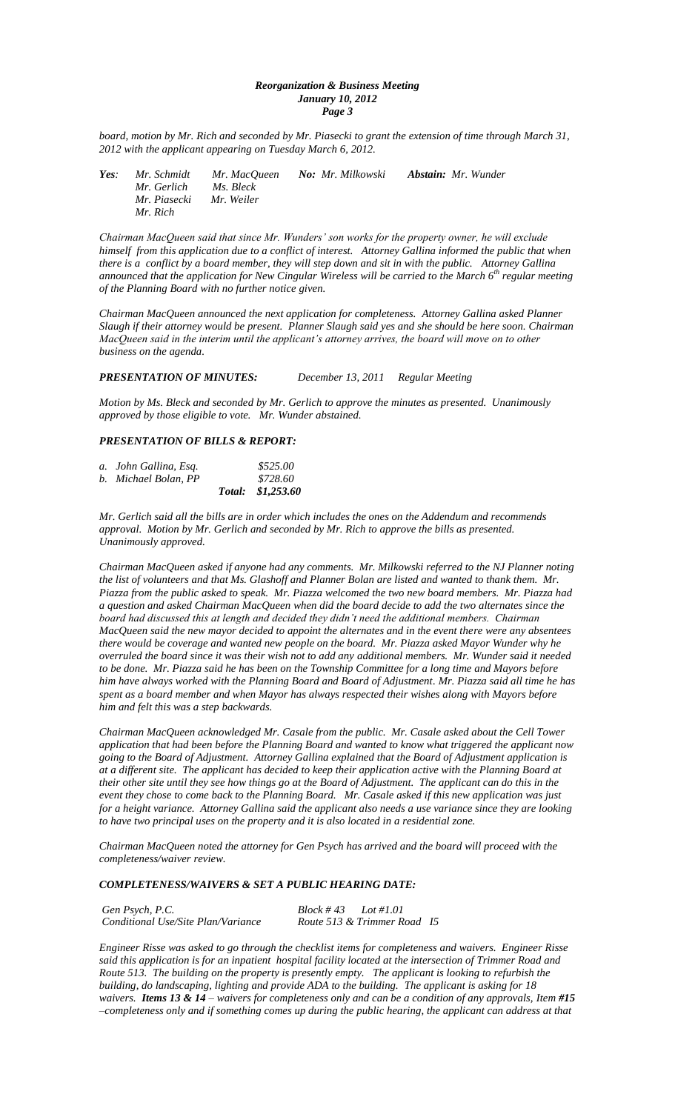## *Reorganization & Business Meeting January 10, 2012 Page 3*

*board, motion by Mr. Rich and seconded by Mr. Piasecki to grant the extension of time through March 31, 2012 with the applicant appearing on Tuesday March 6, 2012.*

| Yes: | Mr. Schmidt  | Mr. MacOueen | <b>No: Mr. Milkowski</b> | <b>Abstain:</b> Mr. Wunder |
|------|--------------|--------------|--------------------------|----------------------------|
|      | Mr. Gerlich  | Ms. Bleck    |                          |                            |
|      | Mr. Piasecki | Mr. Weiler   |                          |                            |
|      | Mr. Rich     |              |                          |                            |

*Chairman MacQueen said that since Mr. Wunders' son works for the property owner, he will exclude himself from this application due to a conflict of interest. Attorney Gallina informed the public that when there is a conflict by a board member, they will step down and sit in with the public. Attorney Gallina announced that the application for New Cingular Wireless will be carried to the March 6th regular meeting of the Planning Board with no further notice given.*

*Chairman MacQueen announced the next application for completeness. Attorney Gallina asked Planner Slaugh if their attorney would be present. Planner Slaugh said yes and she should be here soon. Chairman MacQueen said in the interim until the applicant's attorney arrives, the board will move on to other business on the agenda.*

## *PRESENTATION OF MINUTES: December 13, 2011 Regular Meeting*

*Motion by Ms. Bleck and seconded by Mr. Gerlich to approve the minutes as presented. Unanimously approved by those eligible to vote. Mr. Wunder abstained.*

# *PRESENTATION OF BILLS & REPORT:*

| b. Michael Bolan, PP | \$728.60          |
|----------------------|-------------------|
|                      | Total: \$1,253.60 |

*Mr. Gerlich said all the bills are in order which includes the ones on the Addendum and recommends approval. Motion by Mr. Gerlich and seconded by Mr. Rich to approve the bills as presented. Unanimously approved.*

*Chairman MacQueen asked if anyone had any comments. Mr. Milkowski referred to the NJ Planner noting the list of volunteers and that Ms. Glashoff and Planner Bolan are listed and wanted to thank them. Mr. Piazza from the public asked to speak. Mr. Piazza welcomed the two new board members. Mr. Piazza had a question and asked Chairman MacQueen when did the board decide to add the two alternates since the board had discussed this at length and decided they didn't need the additional members. Chairman MacQueen said the new mayor decided to appoint the alternates and in the event there were any absentees there would be coverage and wanted new people on the board. Mr. Piazza asked Mayor Wunder why he overruled the board since it was their wish not to add any additional members. Mr. Wunder said it needed to be done. Mr. Piazza said he has been on the Township Committee for a long time and Mayors before him have always worked with the Planning Board and Board of Adjustment. Mr. Piazza said all time he has spent as a board member and when Mayor has always respected their wishes along with Mayors before him and felt this was a step backwards.*

*Chairman MacQueen acknowledged Mr. Casale from the public. Mr. Casale asked about the Cell Tower application that had been before the Planning Board and wanted to know what triggered the applicant now going to the Board of Adjustment. Attorney Gallina explained that the Board of Adjustment application is at a different site. The applicant has decided to keep their application active with the Planning Board at their other site until they see how things go at the Board of Adjustment. The applicant can do this in the event they chose to come back to the Planning Board. Mr. Casale asked if this new application was just for a height variance. Attorney Gallina said the applicant also needs a use variance since they are looking to have two principal uses on the property and it is also located in a residential zone.*

*Chairman MacQueen noted the attorney for Gen Psych has arrived and the board will proceed with the completeness/waiver review.*

## *COMPLETENESS/WAIVERS & SET A PUBLIC HEARING DATE:*

| Gen Psych, P.C.                    | Block #43<br>$Lot \#1.01$   |  |
|------------------------------------|-----------------------------|--|
| Conditional Use/Site Plan/Variance | Route 513 & Trimmer Road 15 |  |

*Engineer Risse was asked to go through the checklist items for completeness and waivers. Engineer Risse said this application is for an inpatient hospital facility located at the intersection of Trimmer Road and Route 513. The building on the property is presently empty. The applicant is looking to refurbish the building, do landscaping, lighting and provide ADA to the building. The applicant is asking for 18 waivers. Items 13 & 14* – *waivers for completeness only and can be a condition of any approvals, Item #15 –completeness only and if something comes up during the public hearing, the applicant can address at that*